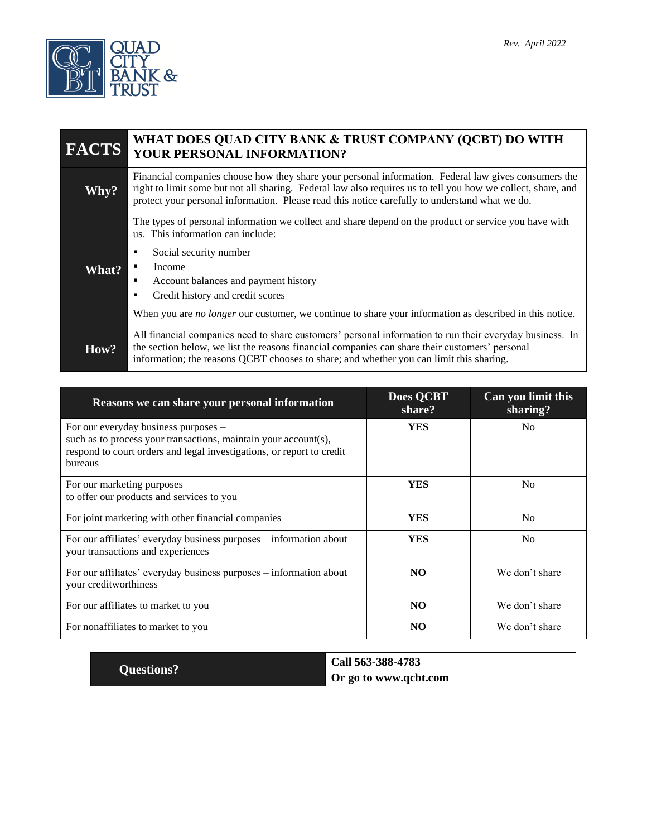

| <b>FACTS</b> | WHAT DOES QUAD CITY BANK & TRUST COMPANY (QCBT) DO WITH<br>YOUR PERSONAL INFORMATION?                                                                                                                                                                                                                                                                                                  |  |
|--------------|----------------------------------------------------------------------------------------------------------------------------------------------------------------------------------------------------------------------------------------------------------------------------------------------------------------------------------------------------------------------------------------|--|
| Why?         | Financial companies choose how they share your personal information. Federal law gives consumers the<br>right to limit some but not all sharing. Federal law also requires us to tell you how we collect, share, and<br>protect your personal information. Please read this notice carefully to understand what we do.                                                                 |  |
| What?        | The types of personal information we collect and share depend on the product or service you have with<br>us. This information can include:<br>Social security number<br>٠<br>Income<br>Account balances and payment history<br>٠<br>Credit history and credit scores<br>When you are <i>no longer</i> our customer, we continue to share your information as described in this notice. |  |
| How?         | All financial companies need to share customers' personal information to run their everyday business. In<br>the section below, we list the reasons financial companies can share their customers' personal<br>information; the reasons QCBT chooses to share; and whether you can limit this sharing.                                                                                  |  |

| Reasons we can share your personal information                                                                                                                                              | <b>Does QCBT</b><br>share? | Can you limit this<br>sharing? |
|---------------------------------------------------------------------------------------------------------------------------------------------------------------------------------------------|----------------------------|--------------------------------|
| For our everyday business purposes –<br>such as to process your transactions, maintain your account(s),<br>respond to court orders and legal investigations, or report to credit<br>bureaus | <b>YES</b>                 | No                             |
| For our marketing purposes -<br>to offer our products and services to you                                                                                                                   | <b>YES</b>                 | N <sub>0</sub>                 |
| For joint marketing with other financial companies                                                                                                                                          | <b>YES</b>                 | N <sub>0</sub>                 |
| For our affiliates' everyday business purposes - information about<br>your transactions and experiences                                                                                     | <b>YES</b>                 | N <sub>0</sub>                 |
| For our affiliates' everyday business purposes – information about<br>your creditworthiness                                                                                                 | NO                         | We don't share                 |
| For our affiliates to market to you                                                                                                                                                         | NO                         | We don't share                 |
| For nonaffiliates to market to you                                                                                                                                                          | NO                         | We don't share                 |

|                   | Call 563-388-4783            |
|-------------------|------------------------------|
| <b>Questions?</b> | <b>Or go to www.qcbt.com</b> |